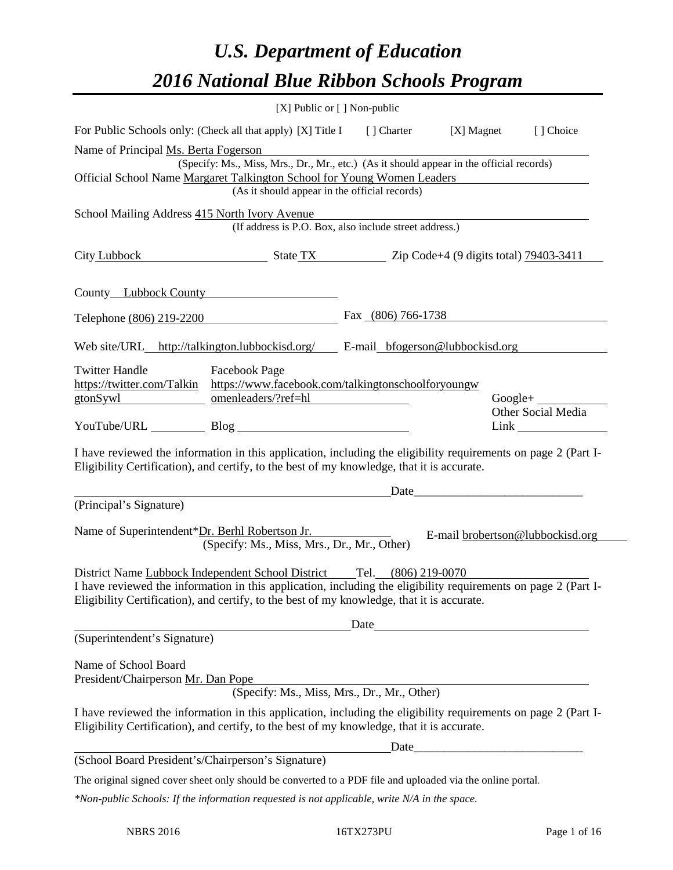# *U.S. Department of Education 2016 National Blue Ribbon Schools Program*

|                                                                                                                                                                                                              | [X] Public or [] Non-public                                                                                                                                                                                  |  |                    |              |                                  |
|--------------------------------------------------------------------------------------------------------------------------------------------------------------------------------------------------------------|--------------------------------------------------------------------------------------------------------------------------------------------------------------------------------------------------------------|--|--------------------|--------------|----------------------------------|
|                                                                                                                                                                                                              | For Public Schools only: (Check all that apply) [X] Title I [] Charter                                                                                                                                       |  |                    | $[X]$ Magnet | [] Choice                        |
| Name of Principal Ms. Berta Fogerson                                                                                                                                                                         |                                                                                                                                                                                                              |  |                    |              |                                  |
|                                                                                                                                                                                                              | (Specify: Ms., Miss, Mrs., Dr., Mr., etc.) (As it should appear in the official records)                                                                                                                     |  |                    |              |                                  |
|                                                                                                                                                                                                              | Official School Name Margaret Talkington School for Young Women Leaders<br>(As it should appear in the official records)                                                                                     |  |                    |              |                                  |
|                                                                                                                                                                                                              |                                                                                                                                                                                                              |  |                    |              |                                  |
| School Mailing Address 415 North Ivory Avenue                                                                                                                                                                | (If address is P.O. Box, also include street address.)                                                                                                                                                       |  |                    |              |                                  |
|                                                                                                                                                                                                              | City Lubbock State TX State TX $\frac{1}{2}$ Zip Code+4 (9 digits total) $\frac{79403-3411}{2}$                                                                                                              |  |                    |              |                                  |
| County Lubbock County                                                                                                                                                                                        |                                                                                                                                                                                                              |  |                    |              |                                  |
| Telephone (806) 219-2200                                                                                                                                                                                     |                                                                                                                                                                                                              |  | Fax (806) 766-1738 |              |                                  |
|                                                                                                                                                                                                              | Web site/URL_http://talkington.lubbockisd.org/ _____ E-mail_bfogerson@lubbockisd.org                                                                                                                         |  |                    |              |                                  |
| <b>Twitter Handle</b>                                                                                                                                                                                        | <b>Facebook Page</b>                                                                                                                                                                                         |  |                    |              |                                  |
|                                                                                                                                                                                                              | https://twitter.com/Talkin https://www.facebook.com/talkingtonschoolforyoungw                                                                                                                                |  |                    |              |                                  |
| gtonSywl                                                                                                                                                                                                     | omenleaders/?ref=hl                                                                                                                                                                                          |  |                    |              | $Google + \_$                    |
|                                                                                                                                                                                                              | YouTube/URL Blog                                                                                                                                                                                             |  |                    |              | Other Social Media<br>Link       |
| I have reviewed the information in this application, including the eligibility requirements on page 2 (Part I-<br>Eligibility Certification), and certify, to the best of my knowledge, that it is accurate. |                                                                                                                                                                                                              |  |                    |              |                                  |
|                                                                                                                                                                                                              |                                                                                                                                                                                                              |  | Date_              |              |                                  |
| (Principal's Signature)                                                                                                                                                                                      |                                                                                                                                                                                                              |  |                    |              |                                  |
| Name of Superintendent*Dr. Berhl Robertson Jr.                                                                                                                                                               | (Specify: Ms., Miss, Mrs., Dr., Mr., Other)                                                                                                                                                                  |  |                    |              | E-mail brobertson@lubbockisd.org |
|                                                                                                                                                                                                              | District Name Lubbock Independent School District Tel. (806) 219-0070                                                                                                                                        |  |                    |              |                                  |
|                                                                                                                                                                                                              |                                                                                                                                                                                                              |  |                    |              |                                  |
| I have reviewed the information in this application, including the eligibility requirements on page 2 (Part I-<br>Eligibility Certification), and certify, to the best of my knowledge, that it is accurate. |                                                                                                                                                                                                              |  |                    |              |                                  |
|                                                                                                                                                                                                              | <u>Date</u> Date <b>Date Date Date Date Date Date Date D</b>                                                                                                                                                 |  |                    |              |                                  |
| (Superintendent's Signature)                                                                                                                                                                                 |                                                                                                                                                                                                              |  |                    |              |                                  |
| Name of School Board                                                                                                                                                                                         |                                                                                                                                                                                                              |  |                    |              |                                  |
| President/Chairperson Mr. Dan Pope                                                                                                                                                                           |                                                                                                                                                                                                              |  |                    |              |                                  |
|                                                                                                                                                                                                              | Pope<br>(Specify: Ms., Miss, Mrs., Dr., Mr., Other)                                                                                                                                                          |  |                    |              |                                  |
|                                                                                                                                                                                                              | I have reviewed the information in this application, including the eligibility requirements on page 2 (Part I-<br>Eligibility Certification), and certify, to the best of my knowledge, that it is accurate. |  |                    |              |                                  |
|                                                                                                                                                                                                              |                                                                                                                                                                                                              |  |                    |              |                                  |
| (School Board President's/Chairperson's Signature)                                                                                                                                                           |                                                                                                                                                                                                              |  |                    |              |                                  |
|                                                                                                                                                                                                              | The original signed cover sheet only should be converted to a PDF file and uploaded via the online portal.                                                                                                   |  |                    |              |                                  |
|                                                                                                                                                                                                              | *Non-public Schools: If the information requested is not applicable, write N/A in the space.                                                                                                                 |  |                    |              |                                  |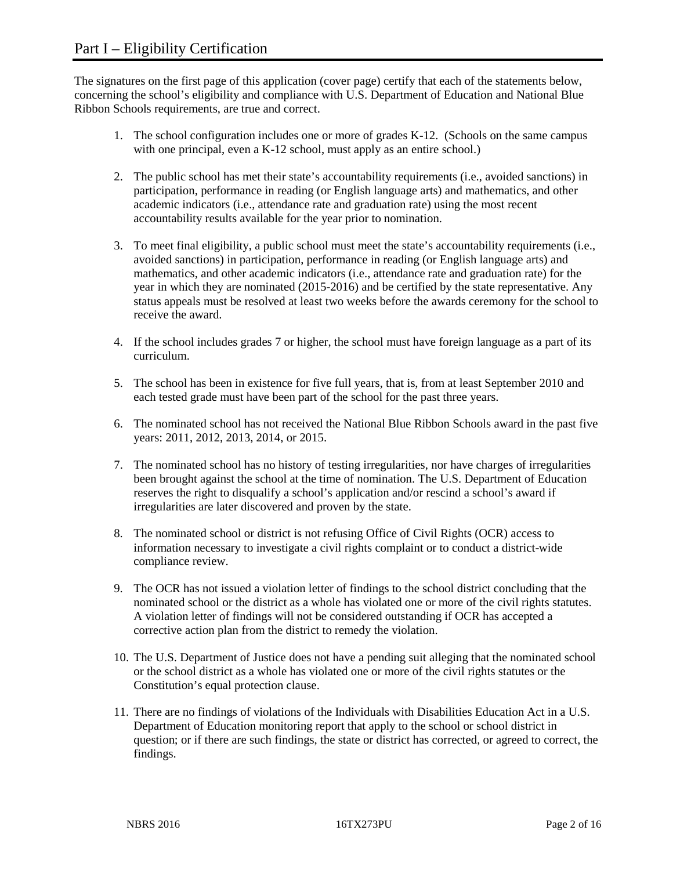The signatures on the first page of this application (cover page) certify that each of the statements below, concerning the school's eligibility and compliance with U.S. Department of Education and National Blue Ribbon Schools requirements, are true and correct.

- 1. The school configuration includes one or more of grades K-12. (Schools on the same campus with one principal, even a K-12 school, must apply as an entire school.)
- 2. The public school has met their state's accountability requirements (i.e., avoided sanctions) in participation, performance in reading (or English language arts) and mathematics, and other academic indicators (i.e., attendance rate and graduation rate) using the most recent accountability results available for the year prior to nomination.
- 3. To meet final eligibility, a public school must meet the state's accountability requirements (i.e., avoided sanctions) in participation, performance in reading (or English language arts) and mathematics, and other academic indicators (i.e., attendance rate and graduation rate) for the year in which they are nominated (2015-2016) and be certified by the state representative. Any status appeals must be resolved at least two weeks before the awards ceremony for the school to receive the award.
- 4. If the school includes grades 7 or higher, the school must have foreign language as a part of its curriculum.
- 5. The school has been in existence for five full years, that is, from at least September 2010 and each tested grade must have been part of the school for the past three years.
- 6. The nominated school has not received the National Blue Ribbon Schools award in the past five years: 2011, 2012, 2013, 2014, or 2015.
- 7. The nominated school has no history of testing irregularities, nor have charges of irregularities been brought against the school at the time of nomination. The U.S. Department of Education reserves the right to disqualify a school's application and/or rescind a school's award if irregularities are later discovered and proven by the state.
- 8. The nominated school or district is not refusing Office of Civil Rights (OCR) access to information necessary to investigate a civil rights complaint or to conduct a district-wide compliance review.
- 9. The OCR has not issued a violation letter of findings to the school district concluding that the nominated school or the district as a whole has violated one or more of the civil rights statutes. A violation letter of findings will not be considered outstanding if OCR has accepted a corrective action plan from the district to remedy the violation.
- 10. The U.S. Department of Justice does not have a pending suit alleging that the nominated school or the school district as a whole has violated one or more of the civil rights statutes or the Constitution's equal protection clause.
- 11. There are no findings of violations of the Individuals with Disabilities Education Act in a U.S. Department of Education monitoring report that apply to the school or school district in question; or if there are such findings, the state or district has corrected, or agreed to correct, the findings.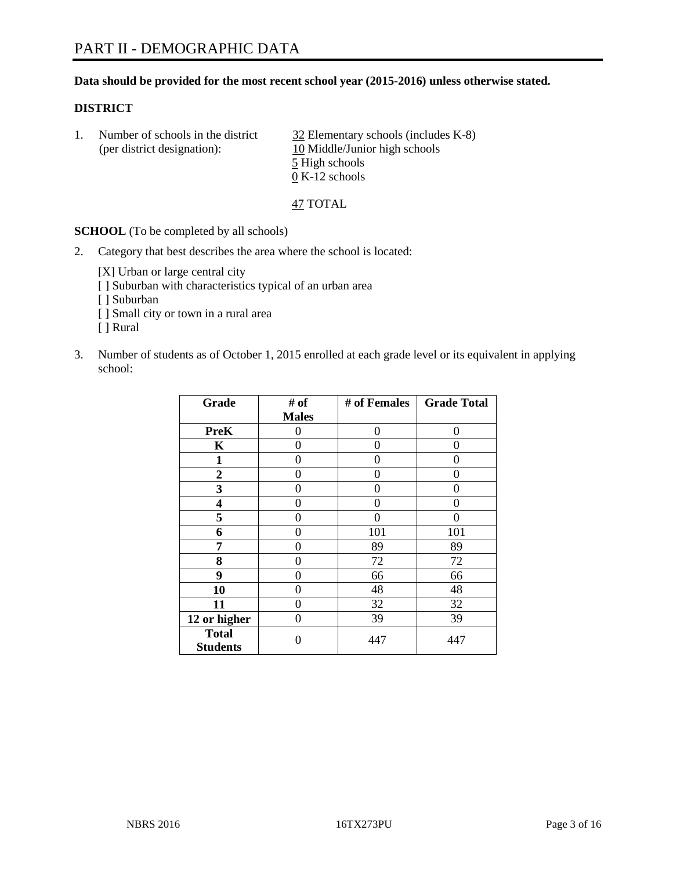#### **Data should be provided for the most recent school year (2015-2016) unless otherwise stated.**

#### **DISTRICT**

| Number of schools in the district | $32$ Elementary schools (includes K-8) |
|-----------------------------------|----------------------------------------|
| (per district designation):       | 10 Middle/Junior high schools          |
|                                   | 5 High schools                         |
|                                   | $0 K-12$ schools                       |

47 TOTAL

**SCHOOL** (To be completed by all schools)

2. Category that best describes the area where the school is located:

[X] Urban or large central city [ ] Suburban with characteristics typical of an urban area [ ] Suburban [ ] Small city or town in a rural area [ ] Rural

3. Number of students as of October 1, 2015 enrolled at each grade level or its equivalent in applying school:

| Grade                           | # of         | # of Females | <b>Grade Total</b> |  |
|---------------------------------|--------------|--------------|--------------------|--|
|                                 | <b>Males</b> |              |                    |  |
| <b>PreK</b>                     | 0            | $\theta$     | 0                  |  |
| $\mathbf K$                     | 0            | 0            | 0                  |  |
| $\mathbf{1}$                    | 0            | 0            | 0                  |  |
| $\overline{2}$                  | 0            | 0            | 0                  |  |
| 3                               | 0            | 0            | $\theta$           |  |
| $\overline{\mathbf{4}}$         | 0            | 0            | 0                  |  |
| 5                               | 0            | 0            | 0                  |  |
| 6                               | 0            | 101          | 101                |  |
| 7                               | 0            | 89           | 89                 |  |
| 8                               | $\theta$     | 72           | 72                 |  |
| 9                               | 0            | 66           | 66                 |  |
| 10                              | 0            | 48           | 48                 |  |
| 11                              | $\theta$     | 32           | 32                 |  |
| 12 or higher                    | $\theta$     | 39           | 39                 |  |
| <b>Total</b><br><b>Students</b> | 0            | 447          | 447                |  |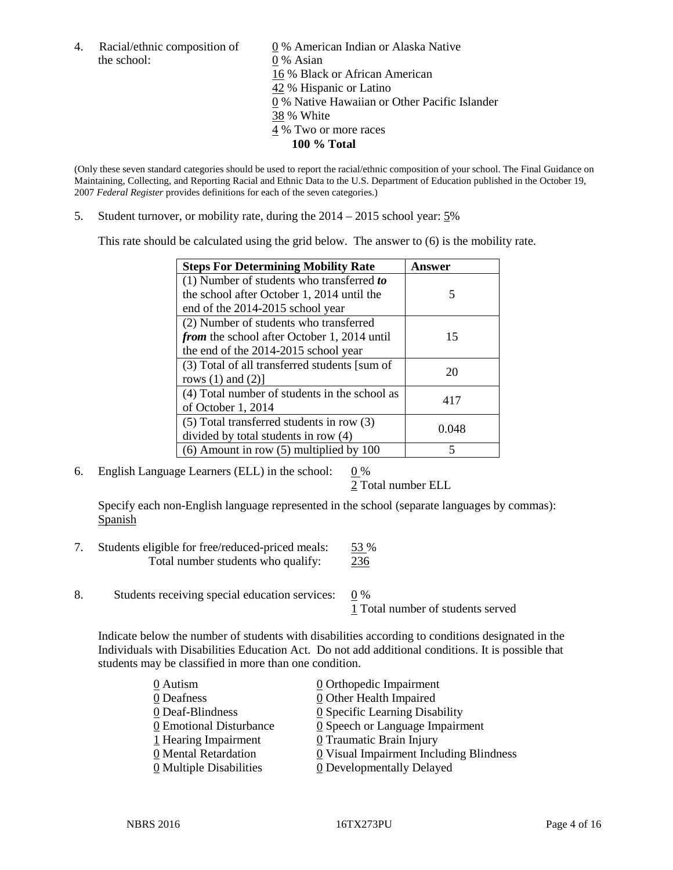the school: 0 % Asian

4. Racial/ethnic composition of  $\qquad \qquad \underline{0}$  % American Indian or Alaska Native 16 % Black or African American 42 % Hispanic or Latino 0 % Native Hawaiian or Other Pacific Islander 38 % White 4 % Two or more races **100 % Total**

(Only these seven standard categories should be used to report the racial/ethnic composition of your school. The Final Guidance on Maintaining, Collecting, and Reporting Racial and Ethnic Data to the U.S. Department of Education published in the October 19, 2007 *Federal Register* provides definitions for each of the seven categories.)

5. Student turnover, or mobility rate, during the 2014 – 2015 school year: 5%

This rate should be calculated using the grid below. The answer to (6) is the mobility rate.

| <b>Steps For Determining Mobility Rate</b>         | Answer |
|----------------------------------------------------|--------|
| (1) Number of students who transferred to          |        |
| the school after October 1, 2014 until the         | 5      |
| end of the 2014-2015 school year                   |        |
| (2) Number of students who transferred             |        |
| <i>from</i> the school after October 1, 2014 until | 15     |
| the end of the 2014-2015 school year               |        |
| (3) Total of all transferred students [sum of      | 20     |
| rows $(1)$ and $(2)$ ]                             |        |
| (4) Total number of students in the school as      | 417    |
| of October 1, 2014                                 |        |
| (5) Total transferred students in row (3)          | 0.048  |
| divided by total students in row (4)               |        |
| $(6)$ Amount in row $(5)$ multiplied by 100        | 5      |

6. English Language Learners (ELL) in the school:  $0\%$ 

2 Total number ELL

Specify each non-English language represented in the school (separate languages by commas): Spanish

- 7. Students eligible for free/reduced-priced meals: 53 % Total number students who qualify: 236
- 8. Students receiving special education services:  $\frac{0}{0}$  %

1 Total number of students served

Indicate below the number of students with disabilities according to conditions designated in the Individuals with Disabilities Education Act. Do not add additional conditions. It is possible that students may be classified in more than one condition.

| 0 Autism                  | 0 Orthopedic Impairment                      |
|---------------------------|----------------------------------------------|
| 0 Deafness                | 0 Other Health Impaired                      |
| 0 Deaf-Blindness          | $\underline{0}$ Specific Learning Disability |
| 0 Emotional Disturbance   | $Q$ Speech or Language Impairment            |
| 1 Hearing Impairment      | 0 Traumatic Brain Injury                     |
| 0 Mental Retardation      | 0 Visual Impairment Including Blindness      |
| $Q$ Multiple Disabilities | <b>0</b> Developmentally Delayed             |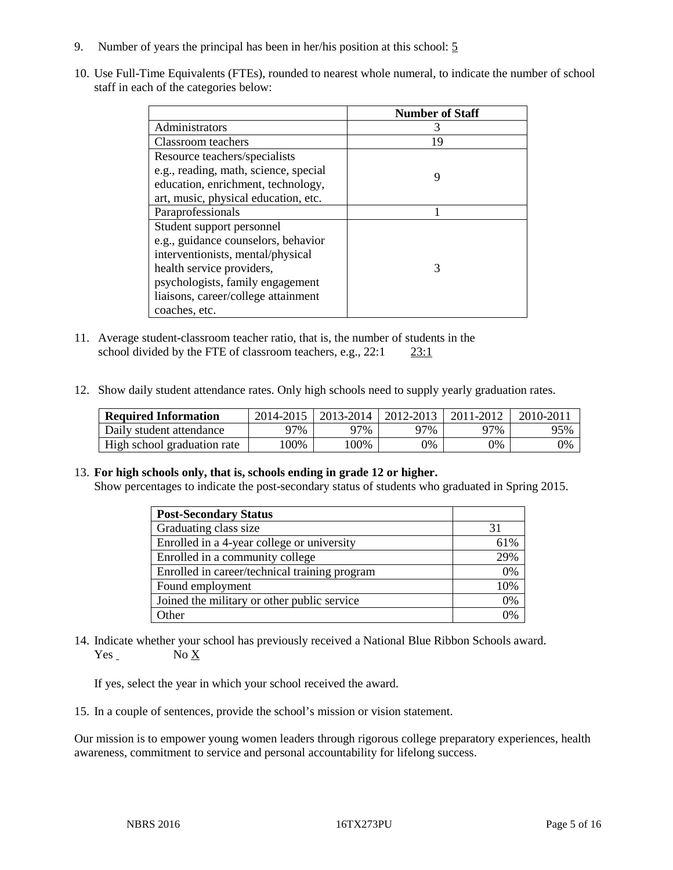- 9. Number of years the principal has been in her/his position at this school: 5
- 10. Use Full-Time Equivalents (FTEs), rounded to nearest whole numeral, to indicate the number of school staff in each of the categories below:

|                                       | <b>Number of Staff</b> |
|---------------------------------------|------------------------|
| Administrators                        |                        |
| Classroom teachers                    | 19                     |
| Resource teachers/specialists         |                        |
| e.g., reading, math, science, special | 9                      |
| education, enrichment, technology,    |                        |
| art, music, physical education, etc.  |                        |
| Paraprofessionals                     |                        |
| Student support personnel             |                        |
| e.g., guidance counselors, behavior   |                        |
| interventionists, mental/physical     |                        |
| health service providers,             | 3                      |
| psychologists, family engagement      |                        |
| liaisons, career/college attainment   |                        |
| coaches, etc.                         |                        |

- 11. Average student-classroom teacher ratio, that is, the number of students in the school divided by the FTE of classroom teachers, e.g.,  $22:1$   $23:1$
- 12. Show daily student attendance rates. Only high schools need to supply yearly graduation rates.

| <b>Required Information</b> | 2014-2015 | $2013 - 2014$ | 2012-2013 | 2011-2012 | 2010-2011 |
|-----------------------------|-----------|---------------|-----------|-----------|-----------|
| Daily student attendance    | 97%       | 97%           | 97%       | ว7%       | 95%       |
| High school graduation rate | 00%       | 00%           | 0%        | )%        | 0%        |

#### 13. **For high schools only, that is, schools ending in grade 12 or higher.**

Show percentages to indicate the post-secondary status of students who graduated in Spring 2015.

| <b>Post-Secondary Status</b>                  |     |
|-----------------------------------------------|-----|
| Graduating class size                         | 31  |
| Enrolled in a 4-year college or university    | 61% |
| Enrolled in a community college               | 29% |
| Enrolled in career/technical training program | 0%  |
| Found employment                              | 10% |
| Joined the military or other public service   | 0%  |
| Other                                         | 0%  |

14. Indicate whether your school has previously received a National Blue Ribbon Schools award. Yes No X

If yes, select the year in which your school received the award.

15. In a couple of sentences, provide the school's mission or vision statement.

Our mission is to empower young women leaders through rigorous college preparatory experiences, health awareness, commitment to service and personal accountability for lifelong success.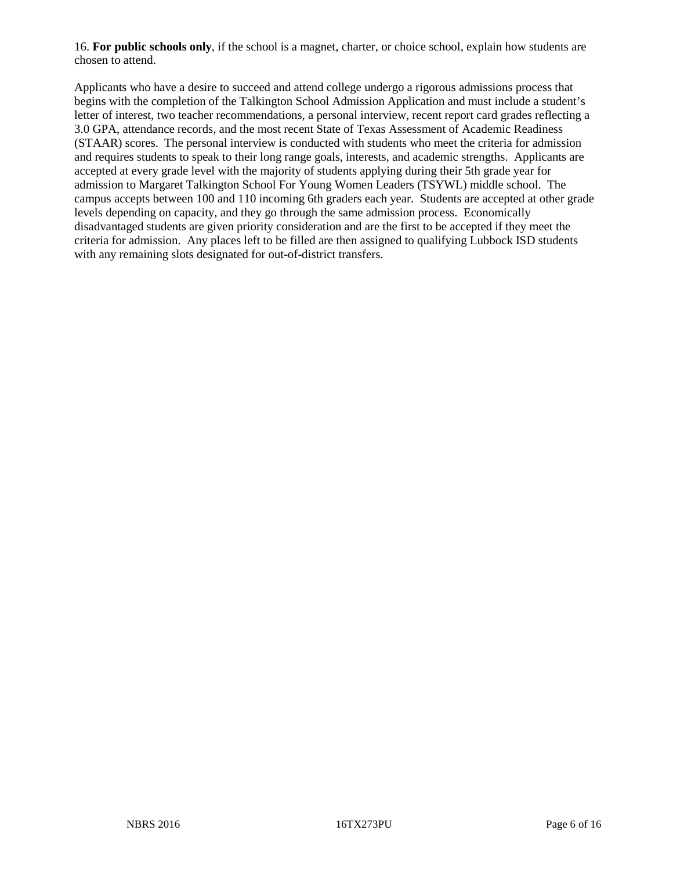16. **For public schools only**, if the school is a magnet, charter, or choice school, explain how students are chosen to attend.

Applicants who have a desire to succeed and attend college undergo a rigorous admissions process that begins with the completion of the Talkington School Admission Application and must include a student's letter of interest, two teacher recommendations, a personal interview, recent report card grades reflecting a 3.0 GPA, attendance records, and the most recent State of Texas Assessment of Academic Readiness (STAAR) scores. The personal interview is conducted with students who meet the criteria for admission and requires students to speak to their long range goals, interests, and academic strengths. Applicants are accepted at every grade level with the majority of students applying during their 5th grade year for admission to Margaret Talkington School For Young Women Leaders (TSYWL) middle school. The campus accepts between 100 and 110 incoming 6th graders each year. Students are accepted at other grade levels depending on capacity, and they go through the same admission process. Economically disadvantaged students are given priority consideration and are the first to be accepted if they meet the criteria for admission. Any places left to be filled are then assigned to qualifying Lubbock ISD students with any remaining slots designated for out-of-district transfers.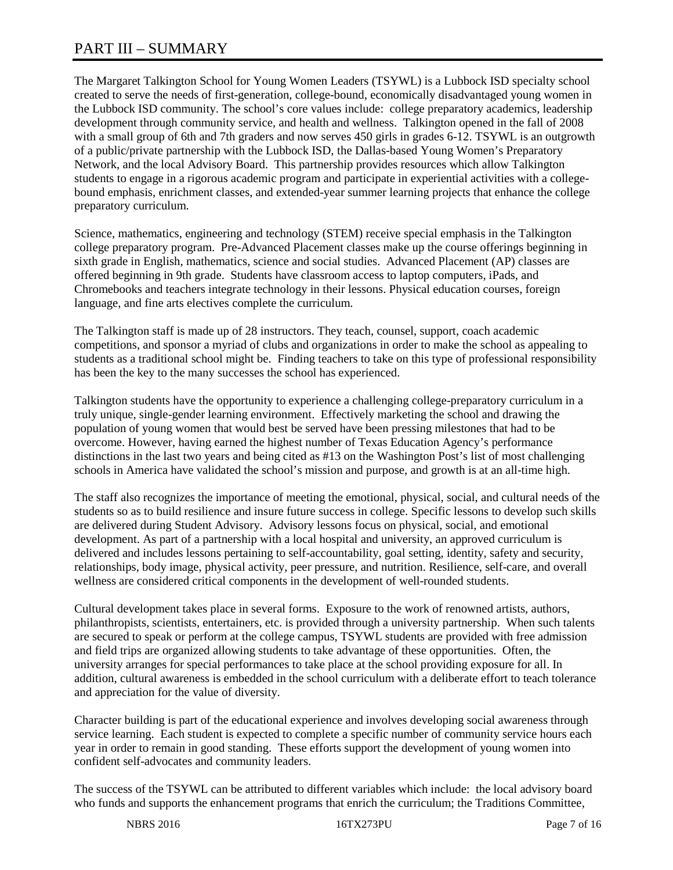## PART III – SUMMARY

The Margaret Talkington School for Young Women Leaders (TSYWL) is a Lubbock ISD specialty school created to serve the needs of first-generation, college-bound, economically disadvantaged young women in the Lubbock ISD community. The school's core values include: college preparatory academics, leadership development through community service, and health and wellness. Talkington opened in the fall of 2008 with a small group of 6th and 7th graders and now serves 450 girls in grades 6-12. TSYWL is an outgrowth of a public/private partnership with the Lubbock ISD, the Dallas-based Young Women's Preparatory Network, and the local Advisory Board. This partnership provides resources which allow Talkington students to engage in a rigorous academic program and participate in experiential activities with a collegebound emphasis, enrichment classes, and extended-year summer learning projects that enhance the college preparatory curriculum.

Science, mathematics, engineering and technology (STEM) receive special emphasis in the Talkington college preparatory program. Pre-Advanced Placement classes make up the course offerings beginning in sixth grade in English, mathematics, science and social studies. Advanced Placement (AP) classes are offered beginning in 9th grade. Students have classroom access to laptop computers, iPads, and Chromebooks and teachers integrate technology in their lessons. Physical education courses, foreign language, and fine arts electives complete the curriculum.

The Talkington staff is made up of 28 instructors. They teach, counsel, support, coach academic competitions, and sponsor a myriad of clubs and organizations in order to make the school as appealing to students as a traditional school might be. Finding teachers to take on this type of professional responsibility has been the key to the many successes the school has experienced.

Talkington students have the opportunity to experience a challenging college-preparatory curriculum in a truly unique, single-gender learning environment. Effectively marketing the school and drawing the population of young women that would best be served have been pressing milestones that had to be overcome. However, having earned the highest number of Texas Education Agency's performance distinctions in the last two years and being cited as #13 on the Washington Post's list of most challenging schools in America have validated the school's mission and purpose, and growth is at an all-time high.

The staff also recognizes the importance of meeting the emotional, physical, social, and cultural needs of the students so as to build resilience and insure future success in college. Specific lessons to develop such skills are delivered during Student Advisory. Advisory lessons focus on physical, social, and emotional development. As part of a partnership with a local hospital and university, an approved curriculum is delivered and includes lessons pertaining to self-accountability, goal setting, identity, safety and security, relationships, body image, physical activity, peer pressure, and nutrition. Resilience, self-care, and overall wellness are considered critical components in the development of well-rounded students.

Cultural development takes place in several forms. Exposure to the work of renowned artists, authors, philanthropists, scientists, entertainers, etc. is provided through a university partnership. When such talents are secured to speak or perform at the college campus, TSYWL students are provided with free admission and field trips are organized allowing students to take advantage of these opportunities. Often, the university arranges for special performances to take place at the school providing exposure for all. In addition, cultural awareness is embedded in the school curriculum with a deliberate effort to teach tolerance and appreciation for the value of diversity.

Character building is part of the educational experience and involves developing social awareness through service learning. Each student is expected to complete a specific number of community service hours each year in order to remain in good standing. These efforts support the development of young women into confident self-advocates and community leaders.

The success of the TSYWL can be attributed to different variables which include: the local advisory board who funds and supports the enhancement programs that enrich the curriculum; the Traditions Committee,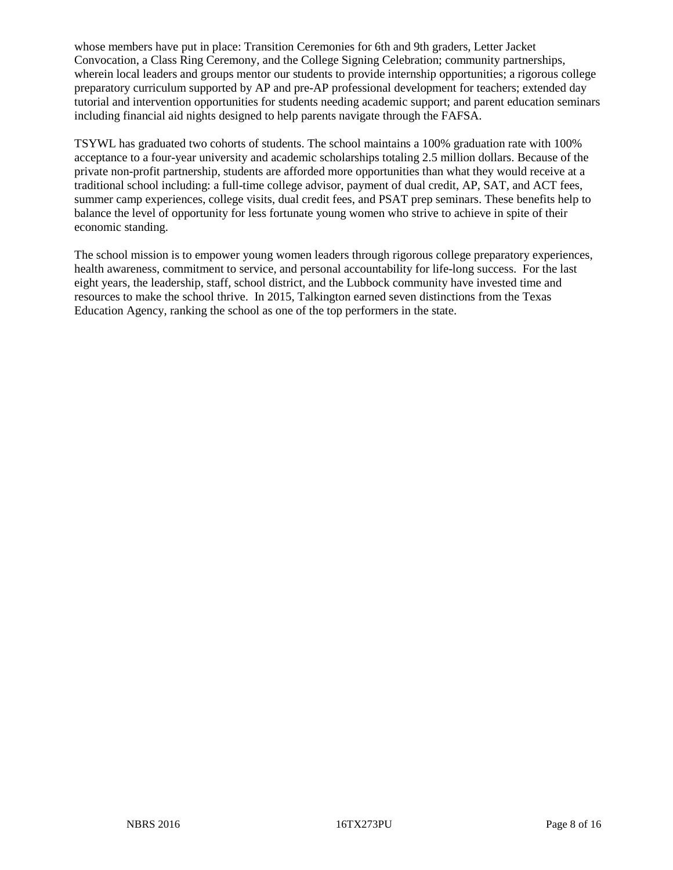whose members have put in place: Transition Ceremonies for 6th and 9th graders, Letter Jacket Convocation, a Class Ring Ceremony, and the College Signing Celebration; community partnerships, wherein local leaders and groups mentor our students to provide internship opportunities; a rigorous college preparatory curriculum supported by AP and pre-AP professional development for teachers; extended day tutorial and intervention opportunities for students needing academic support; and parent education seminars including financial aid nights designed to help parents navigate through the FAFSA.

TSYWL has graduated two cohorts of students. The school maintains a 100% graduation rate with 100% acceptance to a four-year university and academic scholarships totaling 2.5 million dollars. Because of the private non-profit partnership, students are afforded more opportunities than what they would receive at a traditional school including: a full-time college advisor, payment of dual credit, AP, SAT, and ACT fees, summer camp experiences, college visits, dual credit fees, and PSAT prep seminars. These benefits help to balance the level of opportunity for less fortunate young women who strive to achieve in spite of their economic standing.

The school mission is to empower young women leaders through rigorous college preparatory experiences, health awareness, commitment to service, and personal accountability for life-long success. For the last eight years, the leadership, staff, school district, and the Lubbock community have invested time and resources to make the school thrive. In 2015, Talkington earned seven distinctions from the Texas Education Agency, ranking the school as one of the top performers in the state.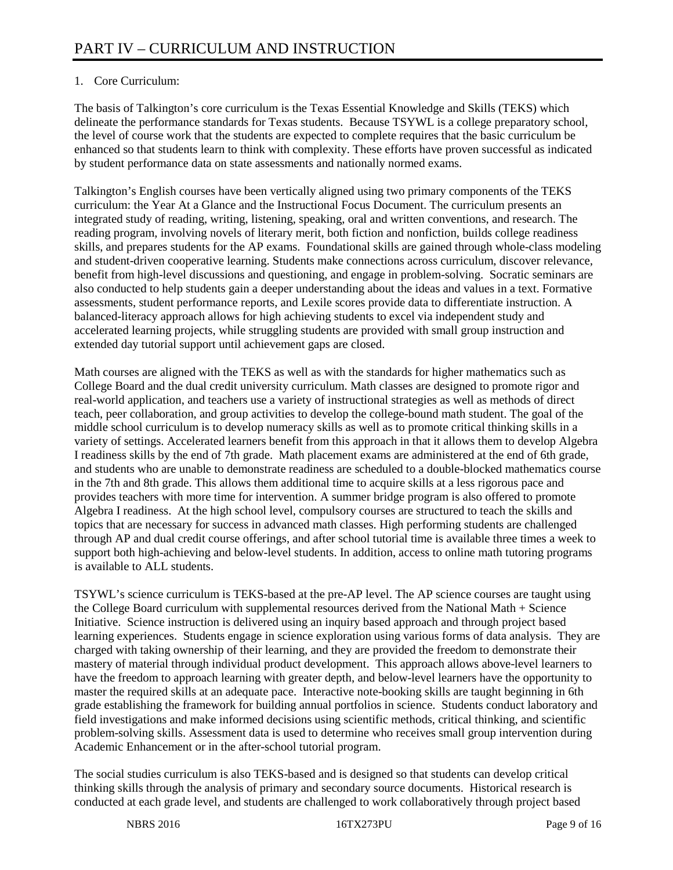### 1. Core Curriculum:

The basis of Talkington's core curriculum is the Texas Essential Knowledge and Skills (TEKS) which delineate the performance standards for Texas students. Because TSYWL is a college preparatory school, the level of course work that the students are expected to complete requires that the basic curriculum be enhanced so that students learn to think with complexity. These efforts have proven successful as indicated by student performance data on state assessments and nationally normed exams.

Talkington's English courses have been vertically aligned using two primary components of the TEKS curriculum: the Year At a Glance and the Instructional Focus Document. The curriculum presents an integrated study of reading, writing, listening, speaking, oral and written conventions, and research. The reading program, involving novels of literary merit, both fiction and nonfiction, builds college readiness skills, and prepares students for the AP exams. Foundational skills are gained through whole-class modeling and student-driven cooperative learning. Students make connections across curriculum, discover relevance, benefit from high-level discussions and questioning, and engage in problem-solving. Socratic seminars are also conducted to help students gain a deeper understanding about the ideas and values in a text. Formative assessments, student performance reports, and Lexile scores provide data to differentiate instruction. A balanced-literacy approach allows for high achieving students to excel via independent study and accelerated learning projects, while struggling students are provided with small group instruction and extended day tutorial support until achievement gaps are closed.

Math courses are aligned with the TEKS as well as with the standards for higher mathematics such as College Board and the dual credit university curriculum. Math classes are designed to promote rigor and real-world application, and teachers use a variety of instructional strategies as well as methods of direct teach, peer collaboration, and group activities to develop the college-bound math student. The goal of the middle school curriculum is to develop numeracy skills as well as to promote critical thinking skills in a variety of settings. Accelerated learners benefit from this approach in that it allows them to develop Algebra I readiness skills by the end of 7th grade. Math placement exams are administered at the end of 6th grade, and students who are unable to demonstrate readiness are scheduled to a double-blocked mathematics course in the 7th and 8th grade. This allows them additional time to acquire skills at a less rigorous pace and provides teachers with more time for intervention. A summer bridge program is also offered to promote Algebra I readiness. At the high school level, compulsory courses are structured to teach the skills and topics that are necessary for success in advanced math classes. High performing students are challenged through AP and dual credit course offerings, and after school tutorial time is available three times a week to support both high-achieving and below-level students. In addition, access to online math tutoring programs is available to ALL students.

TSYWL's science curriculum is TEKS-based at the pre-AP level. The AP science courses are taught using the College Board curriculum with supplemental resources derived from the National Math + Science Initiative. Science instruction is delivered using an inquiry based approach and through project based learning experiences. Students engage in science exploration using various forms of data analysis. They are charged with taking ownership of their learning, and they are provided the freedom to demonstrate their mastery of material through individual product development. This approach allows above-level learners to have the freedom to approach learning with greater depth, and below-level learners have the opportunity to master the required skills at an adequate pace. Interactive note-booking skills are taught beginning in 6th grade establishing the framework for building annual portfolios in science. Students conduct laboratory and field investigations and make informed decisions using scientific methods, critical thinking, and scientific problem-solving skills. Assessment data is used to determine who receives small group intervention during Academic Enhancement or in the after-school tutorial program.

The social studies curriculum is also TEKS-based and is designed so that students can develop critical thinking skills through the analysis of primary and secondary source documents. Historical research is conducted at each grade level, and students are challenged to work collaboratively through project based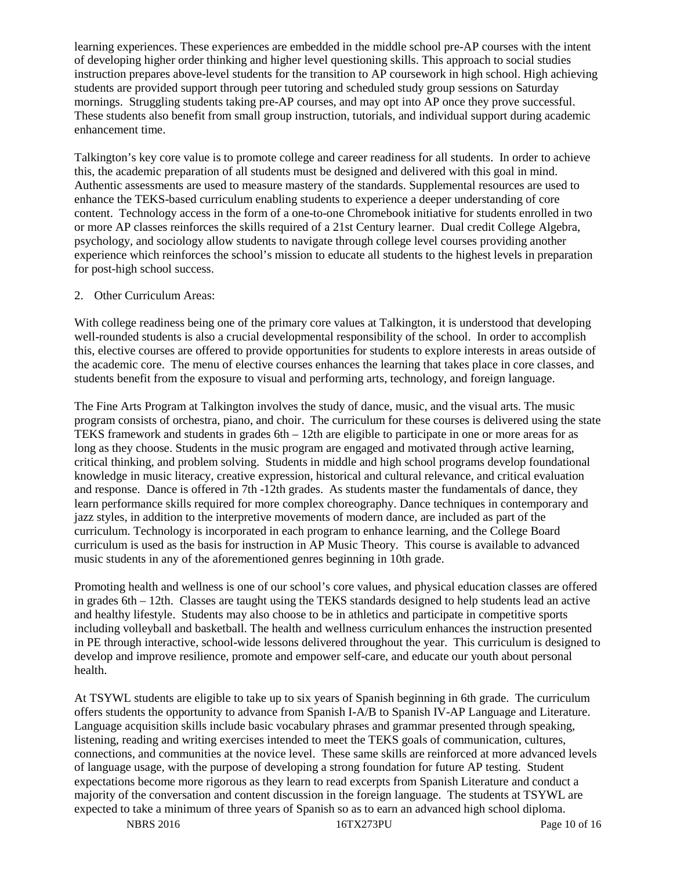learning experiences. These experiences are embedded in the middle school pre-AP courses with the intent of developing higher order thinking and higher level questioning skills. This approach to social studies instruction prepares above-level students for the transition to AP coursework in high school. High achieving students are provided support through peer tutoring and scheduled study group sessions on Saturday mornings. Struggling students taking pre-AP courses, and may opt into AP once they prove successful. These students also benefit from small group instruction, tutorials, and individual support during academic enhancement time.

Talkington's key core value is to promote college and career readiness for all students. In order to achieve this, the academic preparation of all students must be designed and delivered with this goal in mind. Authentic assessments are used to measure mastery of the standards. Supplemental resources are used to enhance the TEKS-based curriculum enabling students to experience a deeper understanding of core content. Technology access in the form of a one-to-one Chromebook initiative for students enrolled in two or more AP classes reinforces the skills required of a 21st Century learner. Dual credit College Algebra, psychology, and sociology allow students to navigate through college level courses providing another experience which reinforces the school's mission to educate all students to the highest levels in preparation for post-high school success.

#### 2. Other Curriculum Areas:

With college readiness being one of the primary core values at Talkington, it is understood that developing well-rounded students is also a crucial developmental responsibility of the school. In order to accomplish this, elective courses are offered to provide opportunities for students to explore interests in areas outside of the academic core. The menu of elective courses enhances the learning that takes place in core classes, and students benefit from the exposure to visual and performing arts, technology, and foreign language.

The Fine Arts Program at Talkington involves the study of dance, music, and the visual arts. The music program consists of orchestra, piano, and choir. The curriculum for these courses is delivered using the state TEKS framework and students in grades 6th – 12th are eligible to participate in one or more areas for as long as they choose. Students in the music program are engaged and motivated through active learning, critical thinking, and problem solving. Students in middle and high school programs develop foundational knowledge in music literacy, creative expression, historical and cultural relevance, and critical evaluation and response. Dance is offered in 7th -12th grades. As students master the fundamentals of dance, they learn performance skills required for more complex choreography. Dance techniques in contemporary and jazz styles, in addition to the interpretive movements of modern dance, are included as part of the curriculum. Technology is incorporated in each program to enhance learning, and the College Board curriculum is used as the basis for instruction in AP Music Theory. This course is available to advanced music students in any of the aforementioned genres beginning in 10th grade.

Promoting health and wellness is one of our school's core values, and physical education classes are offered in grades 6th – 12th. Classes are taught using the TEKS standards designed to help students lead an active and healthy lifestyle. Students may also choose to be in athletics and participate in competitive sports including volleyball and basketball. The health and wellness curriculum enhances the instruction presented in PE through interactive, school-wide lessons delivered throughout the year. This curriculum is designed to develop and improve resilience, promote and empower self-care, and educate our youth about personal health.

At TSYWL students are eligible to take up to six years of Spanish beginning in 6th grade. The curriculum offers students the opportunity to advance from Spanish I-A/B to Spanish IV-AP Language and Literature. Language acquisition skills include basic vocabulary phrases and grammar presented through speaking, listening, reading and writing exercises intended to meet the TEKS goals of communication, cultures, connections, and communities at the novice level. These same skills are reinforced at more advanced levels of language usage, with the purpose of developing a strong foundation for future AP testing. Student expectations become more rigorous as they learn to read excerpts from Spanish Literature and conduct a majority of the conversation and content discussion in the foreign language. The students at TSYWL are expected to take a minimum of three years of Spanish so as to earn an advanced high school diploma.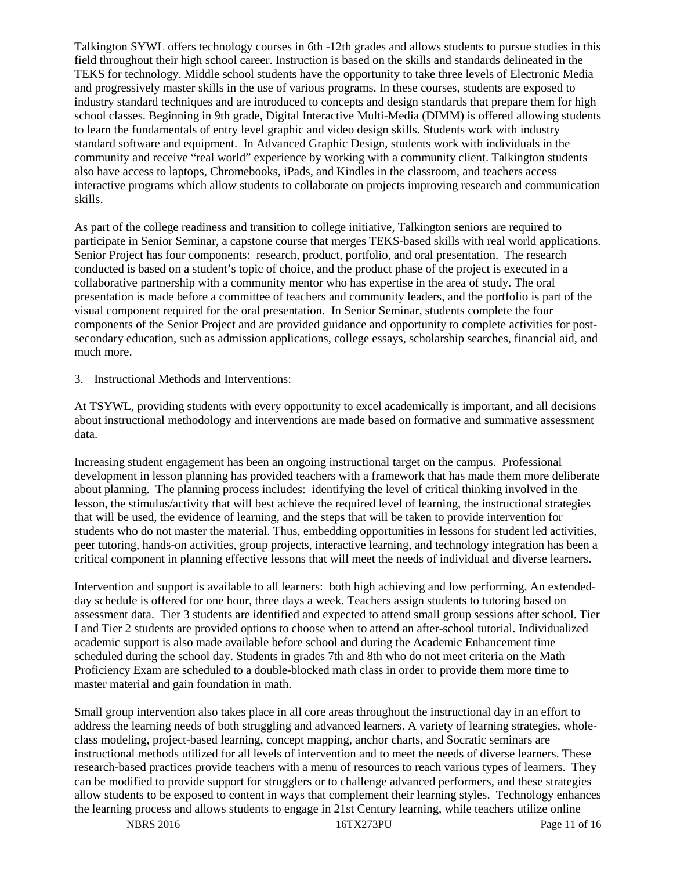Talkington SYWL offers technology courses in 6th -12th grades and allows students to pursue studies in this field throughout their high school career. Instruction is based on the skills and standards delineated in the TEKS for technology. Middle school students have the opportunity to take three levels of Electronic Media and progressively master skills in the use of various programs. In these courses, students are exposed to industry standard techniques and are introduced to concepts and design standards that prepare them for high school classes. Beginning in 9th grade, Digital Interactive Multi-Media (DIMM) is offered allowing students to learn the fundamentals of entry level graphic and video design skills. Students work with industry standard software and equipment. In Advanced Graphic Design, students work with individuals in the community and receive "real world" experience by working with a community client. Talkington students also have access to laptops, Chromebooks, iPads, and Kindles in the classroom, and teachers access interactive programs which allow students to collaborate on projects improving research and communication skills.

As part of the college readiness and transition to college initiative, Talkington seniors are required to participate in Senior Seminar, a capstone course that merges TEKS-based skills with real world applications. Senior Project has four components: research, product, portfolio, and oral presentation. The research conducted is based on a student's topic of choice, and the product phase of the project is executed in a collaborative partnership with a community mentor who has expertise in the area of study. The oral presentation is made before a committee of teachers and community leaders, and the portfolio is part of the visual component required for the oral presentation. In Senior Seminar, students complete the four components of the Senior Project and are provided guidance and opportunity to complete activities for postsecondary education, such as admission applications, college essays, scholarship searches, financial aid, and much more.

3. Instructional Methods and Interventions:

At TSYWL, providing students with every opportunity to excel academically is important, and all decisions about instructional methodology and interventions are made based on formative and summative assessment data.

Increasing student engagement has been an ongoing instructional target on the campus. Professional development in lesson planning has provided teachers with a framework that has made them more deliberate about planning. The planning process includes: identifying the level of critical thinking involved in the lesson, the stimulus/activity that will best achieve the required level of learning, the instructional strategies that will be used, the evidence of learning, and the steps that will be taken to provide intervention for students who do not master the material. Thus, embedding opportunities in lessons for student led activities, peer tutoring, hands-on activities, group projects, interactive learning, and technology integration has been a critical component in planning effective lessons that will meet the needs of individual and diverse learners.

Intervention and support is available to all learners: both high achieving and low performing. An extendedday schedule is offered for one hour, three days a week. Teachers assign students to tutoring based on assessment data. Tier 3 students are identified and expected to attend small group sessions after school. Tier I and Tier 2 students are provided options to choose when to attend an after-school tutorial. Individualized academic support is also made available before school and during the Academic Enhancement time scheduled during the school day. Students in grades 7th and 8th who do not meet criteria on the Math Proficiency Exam are scheduled to a double-blocked math class in order to provide them more time to master material and gain foundation in math.

Small group intervention also takes place in all core areas throughout the instructional day in an effort to address the learning needs of both struggling and advanced learners. A variety of learning strategies, wholeclass modeling, project-based learning, concept mapping, anchor charts, and Socratic seminars are instructional methods utilized for all levels of intervention and to meet the needs of diverse learners. These research-based practices provide teachers with a menu of resources to reach various types of learners. They can be modified to provide support for strugglers or to challenge advanced performers, and these strategies allow students to be exposed to content in ways that complement their learning styles. Technology enhances the learning process and allows students to engage in 21st Century learning, while teachers utilize online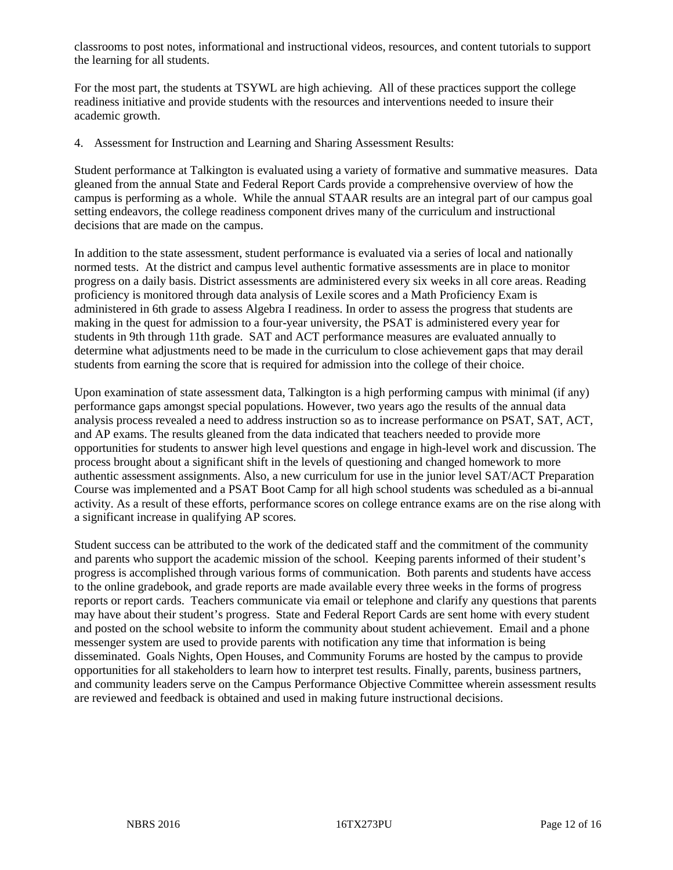classrooms to post notes, informational and instructional videos, resources, and content tutorials to support the learning for all students.

For the most part, the students at TSYWL are high achieving. All of these practices support the college readiness initiative and provide students with the resources and interventions needed to insure their academic growth.

4. Assessment for Instruction and Learning and Sharing Assessment Results:

Student performance at Talkington is evaluated using a variety of formative and summative measures. Data gleaned from the annual State and Federal Report Cards provide a comprehensive overview of how the campus is performing as a whole. While the annual STAAR results are an integral part of our campus goal setting endeavors, the college readiness component drives many of the curriculum and instructional decisions that are made on the campus.

In addition to the state assessment, student performance is evaluated via a series of local and nationally normed tests. At the district and campus level authentic formative assessments are in place to monitor progress on a daily basis. District assessments are administered every six weeks in all core areas. Reading proficiency is monitored through data analysis of Lexile scores and a Math Proficiency Exam is administered in 6th grade to assess Algebra I readiness. In order to assess the progress that students are making in the quest for admission to a four-year university, the PSAT is administered every year for students in 9th through 11th grade. SAT and ACT performance measures are evaluated annually to determine what adjustments need to be made in the curriculum to close achievement gaps that may derail students from earning the score that is required for admission into the college of their choice.

Upon examination of state assessment data, Talkington is a high performing campus with minimal (if any) performance gaps amongst special populations. However, two years ago the results of the annual data analysis process revealed a need to address instruction so as to increase performance on PSAT, SAT, ACT, and AP exams. The results gleaned from the data indicated that teachers needed to provide more opportunities for students to answer high level questions and engage in high-level work and discussion. The process brought about a significant shift in the levels of questioning and changed homework to more authentic assessment assignments. Also, a new curriculum for use in the junior level SAT/ACT Preparation Course was implemented and a PSAT Boot Camp for all high school students was scheduled as a bi-annual activity. As a result of these efforts, performance scores on college entrance exams are on the rise along with a significant increase in qualifying AP scores.

Student success can be attributed to the work of the dedicated staff and the commitment of the community and parents who support the academic mission of the school. Keeping parents informed of their student's progress is accomplished through various forms of communication. Both parents and students have access to the online gradebook, and grade reports are made available every three weeks in the forms of progress reports or report cards. Teachers communicate via email or telephone and clarify any questions that parents may have about their student's progress. State and Federal Report Cards are sent home with every student and posted on the school website to inform the community about student achievement. Email and a phone messenger system are used to provide parents with notification any time that information is being disseminated. Goals Nights, Open Houses, and Community Forums are hosted by the campus to provide opportunities for all stakeholders to learn how to interpret test results. Finally, parents, business partners, and community leaders serve on the Campus Performance Objective Committee wherein assessment results are reviewed and feedback is obtained and used in making future instructional decisions.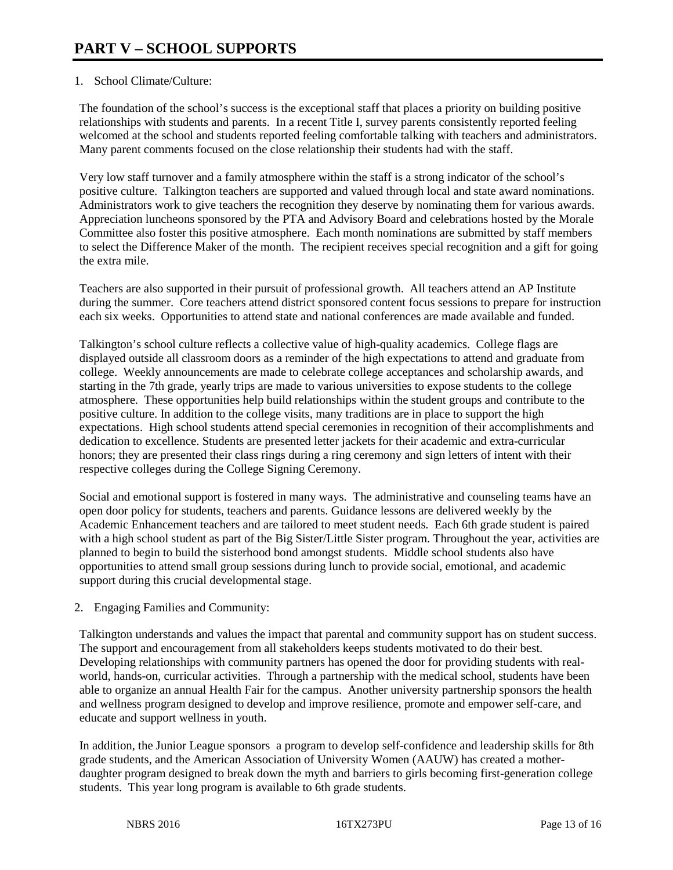#### 1. School Climate/Culture:

The foundation of the school's success is the exceptional staff that places a priority on building positive relationships with students and parents. In a recent Title I, survey parents consistently reported feeling welcomed at the school and students reported feeling comfortable talking with teachers and administrators. Many parent comments focused on the close relationship their students had with the staff.

Very low staff turnover and a family atmosphere within the staff is a strong indicator of the school's positive culture. Talkington teachers are supported and valued through local and state award nominations. Administrators work to give teachers the recognition they deserve by nominating them for various awards. Appreciation luncheons sponsored by the PTA and Advisory Board and celebrations hosted by the Morale Committee also foster this positive atmosphere. Each month nominations are submitted by staff members to select the Difference Maker of the month. The recipient receives special recognition and a gift for going the extra mile.

Teachers are also supported in their pursuit of professional growth. All teachers attend an AP Institute during the summer. Core teachers attend district sponsored content focus sessions to prepare for instruction each six weeks. Opportunities to attend state and national conferences are made available and funded.

Talkington's school culture reflects a collective value of high-quality academics. College flags are displayed outside all classroom doors as a reminder of the high expectations to attend and graduate from college. Weekly announcements are made to celebrate college acceptances and scholarship awards, and starting in the 7th grade, yearly trips are made to various universities to expose students to the college atmosphere. These opportunities help build relationships within the student groups and contribute to the positive culture. In addition to the college visits, many traditions are in place to support the high expectations. High school students attend special ceremonies in recognition of their accomplishments and dedication to excellence. Students are presented letter jackets for their academic and extra-curricular honors; they are presented their class rings during a ring ceremony and sign letters of intent with their respective colleges during the College Signing Ceremony.

Social and emotional support is fostered in many ways. The administrative and counseling teams have an open door policy for students, teachers and parents. Guidance lessons are delivered weekly by the Academic Enhancement teachers and are tailored to meet student needs. Each 6th grade student is paired with a high school student as part of the Big Sister/Little Sister program. Throughout the year, activities are planned to begin to build the sisterhood bond amongst students. Middle school students also have opportunities to attend small group sessions during lunch to provide social, emotional, and academic support during this crucial developmental stage.

#### 2. Engaging Families and Community:

Talkington understands and values the impact that parental and community support has on student success. The support and encouragement from all stakeholders keeps students motivated to do their best. Developing relationships with community partners has opened the door for providing students with realworld, hands-on, curricular activities. Through a partnership with the medical school, students have been able to organize an annual Health Fair for the campus. Another university partnership sponsors the health and wellness program designed to develop and improve resilience, promote and empower self-care, and educate and support wellness in youth.

In addition, the Junior League sponsors a program to develop self-confidence and leadership skills for 8th grade students, and the American Association of University Women (AAUW) has created a motherdaughter program designed to break down the myth and barriers to girls becoming first-generation college students. This year long program is available to 6th grade students.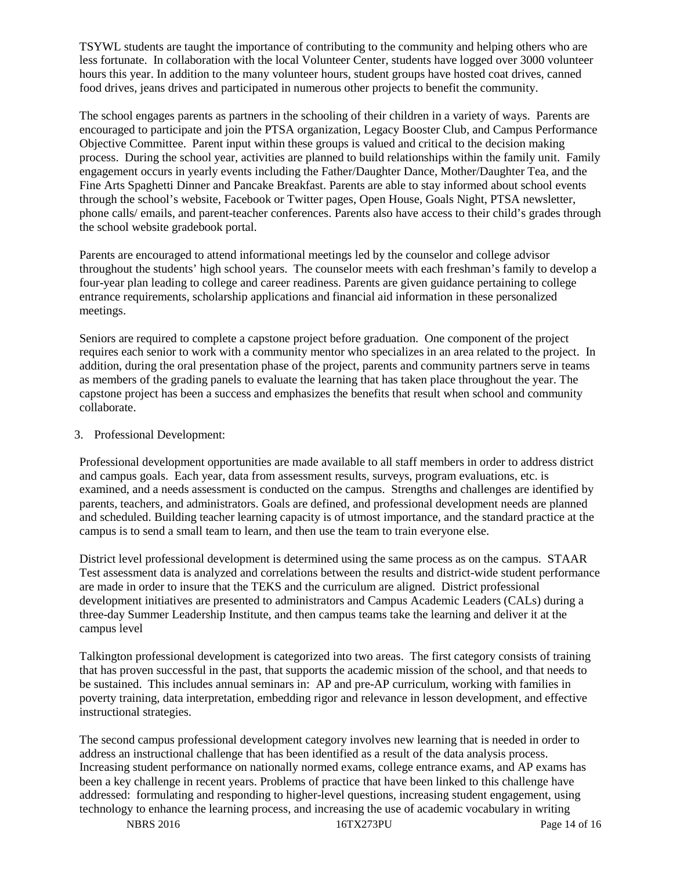TSYWL students are taught the importance of contributing to the community and helping others who are less fortunate. In collaboration with the local Volunteer Center, students have logged over 3000 volunteer hours this year. In addition to the many volunteer hours, student groups have hosted coat drives, canned food drives, jeans drives and participated in numerous other projects to benefit the community.

The school engages parents as partners in the schooling of their children in a variety of ways. Parents are encouraged to participate and join the PTSA organization, Legacy Booster Club, and Campus Performance Objective Committee. Parent input within these groups is valued and critical to the decision making process. During the school year, activities are planned to build relationships within the family unit. Family engagement occurs in yearly events including the Father/Daughter Dance, Mother/Daughter Tea, and the Fine Arts Spaghetti Dinner and Pancake Breakfast. Parents are able to stay informed about school events through the school's website, Facebook or Twitter pages, Open House, Goals Night, PTSA newsletter, phone calls/ emails, and parent-teacher conferences. Parents also have access to their child's grades through the school website gradebook portal.

Parents are encouraged to attend informational meetings led by the counselor and college advisor throughout the students' high school years. The counselor meets with each freshman's family to develop a four-year plan leading to college and career readiness. Parents are given guidance pertaining to college entrance requirements, scholarship applications and financial aid information in these personalized meetings.

Seniors are required to complete a capstone project before graduation. One component of the project requires each senior to work with a community mentor who specializes in an area related to the project. In addition, during the oral presentation phase of the project, parents and community partners serve in teams as members of the grading panels to evaluate the learning that has taken place throughout the year. The capstone project has been a success and emphasizes the benefits that result when school and community collaborate.

#### 3. Professional Development:

Professional development opportunities are made available to all staff members in order to address district and campus goals. Each year, data from assessment results, surveys, program evaluations, etc. is examined, and a needs assessment is conducted on the campus. Strengths and challenges are identified by parents, teachers, and administrators. Goals are defined, and professional development needs are planned and scheduled. Building teacher learning capacity is of utmost importance, and the standard practice at the campus is to send a small team to learn, and then use the team to train everyone else.

District level professional development is determined using the same process as on the campus. STAAR Test assessment data is analyzed and correlations between the results and district-wide student performance are made in order to insure that the TEKS and the curriculum are aligned. District professional development initiatives are presented to administrators and Campus Academic Leaders (CALs) during a three-day Summer Leadership Institute, and then campus teams take the learning and deliver it at the campus level

Talkington professional development is categorized into two areas. The first category consists of training that has proven successful in the past, that supports the academic mission of the school, and that needs to be sustained. This includes annual seminars in: AP and pre-AP curriculum, working with families in poverty training, data interpretation, embedding rigor and relevance in lesson development, and effective instructional strategies.

The second campus professional development category involves new learning that is needed in order to address an instructional challenge that has been identified as a result of the data analysis process. Increasing student performance on nationally normed exams, college entrance exams, and AP exams has been a key challenge in recent years. Problems of practice that have been linked to this challenge have addressed: formulating and responding to higher-level questions, increasing student engagement, using technology to enhance the learning process, and increasing the use of academic vocabulary in writing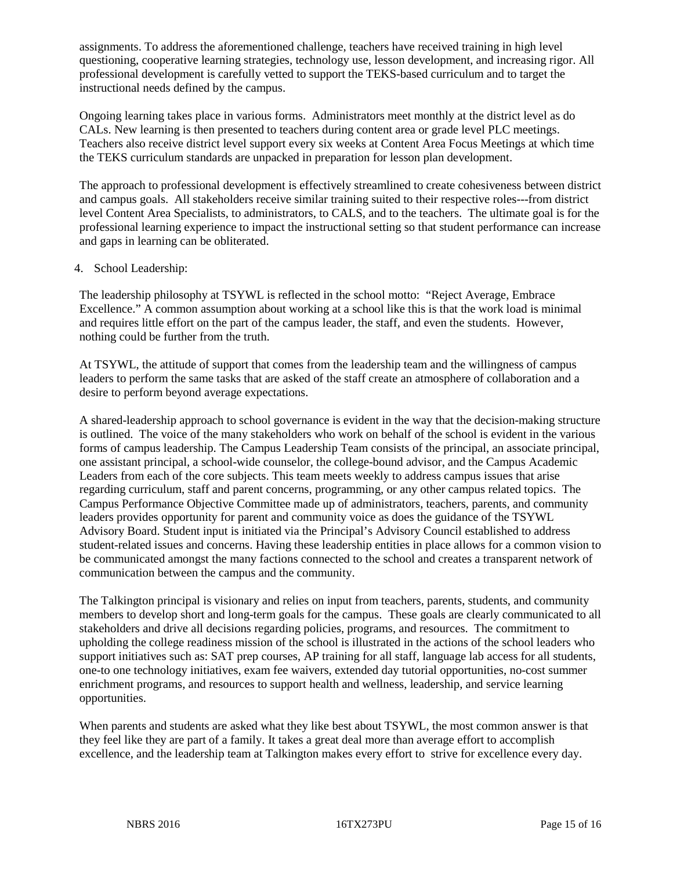assignments. To address the aforementioned challenge, teachers have received training in high level questioning, cooperative learning strategies, technology use, lesson development, and increasing rigor. All professional development is carefully vetted to support the TEKS-based curriculum and to target the instructional needs defined by the campus.

Ongoing learning takes place in various forms. Administrators meet monthly at the district level as do CALs. New learning is then presented to teachers during content area or grade level PLC meetings. Teachers also receive district level support every six weeks at Content Area Focus Meetings at which time the TEKS curriculum standards are unpacked in preparation for lesson plan development.

The approach to professional development is effectively streamlined to create cohesiveness between district and campus goals. All stakeholders receive similar training suited to their respective roles---from district level Content Area Specialists, to administrators, to CALS, and to the teachers. The ultimate goal is for the professional learning experience to impact the instructional setting so that student performance can increase and gaps in learning can be obliterated.

#### 4. School Leadership:

The leadership philosophy at TSYWL is reflected in the school motto: "Reject Average, Embrace Excellence." A common assumption about working at a school like this is that the work load is minimal and requires little effort on the part of the campus leader, the staff, and even the students. However, nothing could be further from the truth.

At TSYWL, the attitude of support that comes from the leadership team and the willingness of campus leaders to perform the same tasks that are asked of the staff create an atmosphere of collaboration and a desire to perform beyond average expectations.

A shared-leadership approach to school governance is evident in the way that the decision-making structure is outlined. The voice of the many stakeholders who work on behalf of the school is evident in the various forms of campus leadership. The Campus Leadership Team consists of the principal, an associate principal, one assistant principal, a school-wide counselor, the college-bound advisor, and the Campus Academic Leaders from each of the core subjects. This team meets weekly to address campus issues that arise regarding curriculum, staff and parent concerns, programming, or any other campus related topics. The Campus Performance Objective Committee made up of administrators, teachers, parents, and community leaders provides opportunity for parent and community voice as does the guidance of the TSYWL Advisory Board. Student input is initiated via the Principal's Advisory Council established to address student-related issues and concerns. Having these leadership entities in place allows for a common vision to be communicated amongst the many factions connected to the school and creates a transparent network of communication between the campus and the community.

The Talkington principal is visionary and relies on input from teachers, parents, students, and community members to develop short and long-term goals for the campus. These goals are clearly communicated to all stakeholders and drive all decisions regarding policies, programs, and resources. The commitment to upholding the college readiness mission of the school is illustrated in the actions of the school leaders who support initiatives such as: SAT prep courses, AP training for all staff, language lab access for all students, one-to one technology initiatives, exam fee waivers, extended day tutorial opportunities, no-cost summer enrichment programs, and resources to support health and wellness, leadership, and service learning opportunities.

When parents and students are asked what they like best about TSYWL, the most common answer is that they feel like they are part of a family. It takes a great deal more than average effort to accomplish excellence, and the leadership team at Talkington makes every effort to strive for excellence every day.